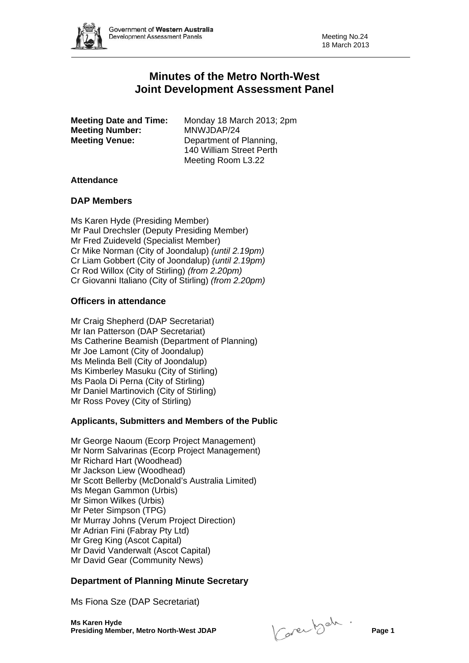# **Minutes of the Metro North-West Joint Development Assessment Panel**

**Meeting Number:** MNWJDAP/24 **Meeting Venue:** Department of Planning,

**Meeting Date and Time:** Monday 18 March 2013; 2pm 140 William Street Perth Meeting Room L3.22

## **Attendance**

## **DAP Members**

Ms Karen Hyde (Presiding Member) Mr Paul Drechsler (Deputy Presiding Member) Mr Fred Zuideveld (Specialist Member) Cr Mike Norman (City of Joondalup) *(until 2.19pm)* Cr Liam Gobbert (City of Joondalup) *(until 2.19pm)* Cr Rod Willox (City of Stirling) *(from 2.20pm)* Cr Giovanni Italiano (City of Stirling) *(from 2.20pm)*

## **Officers in attendance**

Mr Craig Shepherd (DAP Secretariat) Mr Ian Patterson (DAP Secretariat) Ms Catherine Beamish (Department of Planning) Mr Joe Lamont (City of Joondalup) Ms Melinda Bell (City of Joondalup) Ms Kimberley Masuku (City of Stirling) Ms Paola Di Perna (City of Stirling) Mr Daniel Martinovich (City of Stirling) Mr Ross Povey (City of Stirling)

## **Applicants, Submitters and Members of the Public**

Mr George Naoum (Ecorp Project Management) Mr Norm Salvarinas (Ecorp Project Management) Mr Richard Hart (Woodhead) Mr Jackson Liew (Woodhead) Mr Scott Bellerby (McDonald's Australia Limited) Ms Megan Gammon (Urbis) Mr Simon Wilkes (Urbis) Mr Peter Simpson (TPG) Mr Murray Johns (Verum Project Direction) Mr Adrian Fini (Fabray Pty Ltd) Mr Greg King (Ascot Capital) Mr David Vanderwalt (Ascot Capital) Mr David Gear (Community News)

## **Department of Planning Minute Secretary**

Ms Fiona Sze (DAP Secretariat)

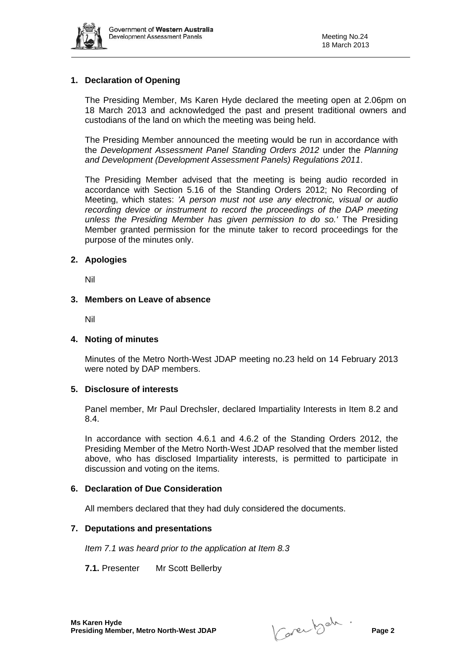

## **1. Declaration of Opening**

The Presiding Member, Ms Karen Hyde declared the meeting open at 2.06pm on 18 March 2013 and acknowledged the past and present traditional owners and custodians of the land on which the meeting was being held.

The Presiding Member announced the meeting would be run in accordance with the *Development Assessment Panel Standing Orders 2012* under the *Planning and Development (Development Assessment Panels) Regulations 2011*.

The Presiding Member advised that the meeting is being audio recorded in accordance with Section 5.16 of the Standing Orders 2012; No Recording of Meeting, which states: *'A person must not use any electronic, visual or audio recording device or instrument to record the proceedings of the DAP meeting unless the Presiding Member has given permission to do so.'* The Presiding Member granted permission for the minute taker to record proceedings for the purpose of the minutes only.

#### **2. Apologies**

Nil

#### **3. Members on Leave of absence**

Nil

## **4. Noting of minutes**

Minutes of the Metro North-West JDAP meeting no.23 held on 14 February 2013 were noted by DAP members.

#### **5. Disclosure of interests**

Panel member, Mr Paul Drechsler, declared Impartiality Interests in Item 8.2 and 8.4.

In accordance with section 4.6.1 and 4.6.2 of the Standing Orders 2012, the Presiding Member of the Metro North-West JDAP resolved that the member listed above, who has disclosed Impartiality interests, is permitted to participate in discussion and voting on the items.

## **6. Declaration of Due Consideration**

All members declared that they had duly considered the documents.

## **7. Deputations and presentations**

*Item 7.1 was heard prior to the application at Item 8.3* 

**7.1.** Presenter Mr Scott Bellerby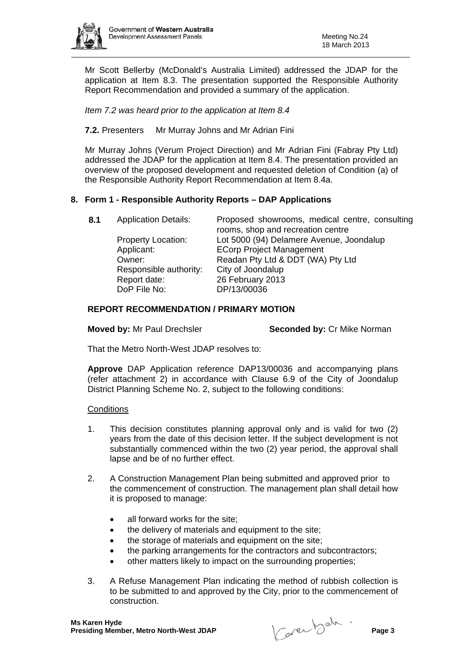

Mr Scott Bellerby (McDonald's Australia Limited) addressed the JDAP for the application at Item 8.3. The presentation supported the Responsible Authority Report Recommendation and provided a summary of the application.

*Item 7.2 was heard prior to the application at Item 8.4* 

**7.2.** Presenters Mr Murray Johns and Mr Adrian Fini

Mr Murray Johns (Verum Project Direction) and Mr Adrian Fini (Fabray Pty Ltd) addressed the JDAP for the application at Item 8.4. The presentation provided an overview of the proposed development and requested deletion of Condition (a) of the Responsible Authority Report Recommendation at Item 8.4a.

## **8. Form 1 - Responsible Authority Reports – DAP Applications**

| 8.1 | <b>Application Details:</b> | Proposed showrooms, medical centre, consulting<br>rooms, shop and recreation centre |
|-----|-----------------------------|-------------------------------------------------------------------------------------|
|     | <b>Property Location:</b>   | Lot 5000 (94) Delamere Avenue, Joondalup                                            |
|     |                             |                                                                                     |
|     | Applicant:                  | <b>ECorp Project Management</b>                                                     |
|     | Owner:                      | Readan Pty Ltd & DDT (WA) Pty Ltd                                                   |
|     | Responsible authority:      | City of Joondalup                                                                   |
|     | Report date:                | 26 February 2013                                                                    |
|     | DoP File No:                | DP/13/00036                                                                         |

## **REPORT RECOMMENDATION / PRIMARY MOTION**

**Moved by:** Mr Paul Drechsler **Seconded by:** Cr Mike Norman

That the Metro North-West JDAP resolves to:

**Approve** DAP Application reference DAP13/00036 and accompanying plans (refer attachment 2) in accordance with Clause 6.9 of the City of Joondalup District Planning Scheme No. 2, subject to the following conditions:

#### **Conditions**

- 1. This decision constitutes planning approval only and is valid for two (2) years from the date of this decision letter. If the subject development is not substantially commenced within the two (2) year period, the approval shall lapse and be of no further effect.
- 2. A Construction Management Plan being submitted and approved prior to the commencement of construction. The management plan shall detail how it is proposed to manage:
	- all forward works for the site:
	- the delivery of materials and equipment to the site;
	- the storage of materials and equipment on the site;
	- the parking arrangements for the contractors and subcontractors;
	- other matters likely to impact on the surrounding properties;
- 3. A Refuse Management Plan indicating the method of rubbish collection is to be submitted to and approved by the City, prior to the commencement of construction.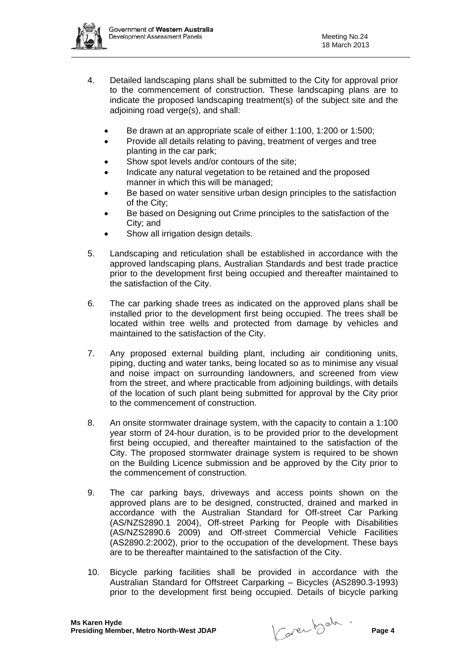

- 4. Detailed landscaping plans shall be submitted to the City for approval prior to the commencement of construction. These landscaping plans are to indicate the proposed landscaping treatment(s) of the subject site and the adjoining road verge(s), and shall:
	- Be drawn at an appropriate scale of either 1:100, 1:200 or 1:500;
	- Provide all details relating to paving, treatment of verges and tree planting in the car park;
	- Show spot levels and/or contours of the site;
	- Indicate any natural vegetation to be retained and the proposed manner in which this will be managed;
	- Be based on water sensitive urban design principles to the satisfaction of the City;
	- Be based on Designing out Crime principles to the satisfaction of the City; and
	- Show all irrigation design details.
- 5. Landscaping and reticulation shall be established in accordance with the approved landscaping plans, Australian Standards and best trade practice prior to the development first being occupied and thereafter maintained to the satisfaction of the City.
- 6. The car parking shade trees as indicated on the approved plans shall be installed prior to the development first being occupied. The trees shall be located within tree wells and protected from damage by vehicles and maintained to the satisfaction of the City.
- 7. Any proposed external building plant, including air conditioning units, piping, ducting and water tanks, being located so as to minimise any visual and noise impact on surrounding landowners, and screened from view from the street, and where practicable from adjoining buildings, with details of the location of such plant being submitted for approval by the City prior to the commencement of construction.
- 8. An onsite stormwater drainage system, with the capacity to contain a 1:100 year storm of 24-hour duration, is to be provided prior to the development first being occupied, and thereafter maintained to the satisfaction of the City. The proposed stormwater drainage system is required to be shown on the Building Licence submission and be approved by the City prior to the commencement of construction.
- 9. The car parking bays, driveways and access points shown on the approved plans are to be designed, constructed, drained and marked in accordance with the Australian Standard for Off-street Car Parking (AS/NZS2890.1 2004), Off-street Parking for People with Disabilities (AS/NZS2890.6 2009) and Off-street Commercial Vehicle Facilities (AS2890.2:2002), prior to the occupation of the development. These bays are to be thereafter maintained to the satisfaction of the City.
- 10. Bicycle parking facilities shall be provided in accordance with the Australian Standard for Offstreet Carparking – Bicycles (AS2890.3-1993) prior to the development first being occupied. Details of bicycle parking

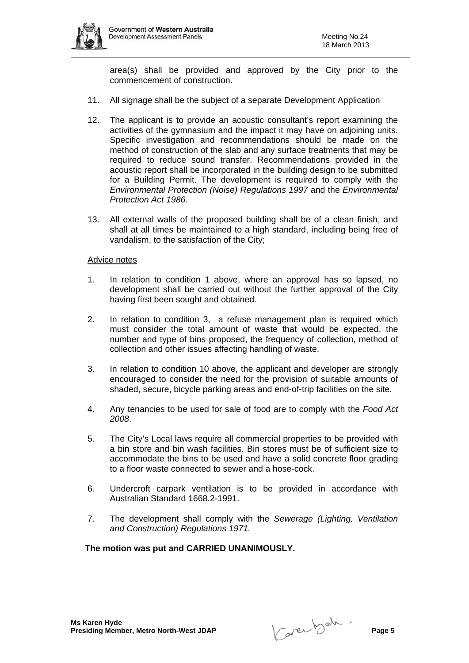

area(s) shall be provided and approved by the City prior to the commencement of construction.

- 11. All signage shall be the subject of a separate Development Application
- 12. The applicant is to provide an acoustic consultant's report examining the activities of the gymnasium and the impact it may have on adjoining units. Specific investigation and recommendations should be made on the method of construction of the slab and any surface treatments that may be required to reduce sound transfer. Recommendations provided in the acoustic report shall be incorporated in the building design to be submitted for a Building Permit. The development is required to comply with the *Environmental Protection (Noise) Regulations 1997* and the *Environmental Protection Act 1986.*
- 13. All external walls of the proposed building shall be of a clean finish, and shall at all times be maintained to a high standard, including being free of vandalism, to the satisfaction of the City;

#### Advice notes

- 1. In relation to condition 1 above, where an approval has so lapsed, no development shall be carried out without the further approval of the City having first been sought and obtained.
- 2. In relation to condition 3, a refuse management plan is required which must consider the total amount of waste that would be expected, the number and type of bins proposed, the frequency of collection, method of collection and other issues affecting handling of waste.
- 3. In relation to condition 10 above, the applicant and developer are strongly encouraged to consider the need for the provision of suitable amounts of shaded, secure, bicycle parking areas and end-of-trip facilities on the site.
- 4. Any tenancies to be used for sale of food are to comply with the *Food Act 2008*.
- 5. The City's Local laws require all commercial properties to be provided with a bin store and bin wash facilities. Bin stores must be of sufficient size to accommodate the bins to be used and have a solid concrete floor grading to a floor waste connected to sewer and a hose-cock.
- 6. Undercroft carpark ventilation is to be provided in accordance with Australian Standard 1668.2-1991.
- 7. The development shall comply with the *Sewerage (Lighting, Ventilation and Construction) Regulations 1971.*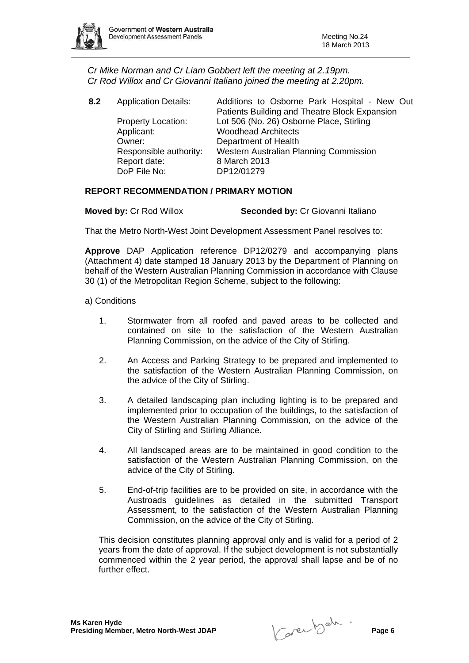

*Cr Mike Norman and Cr Liam Gobbert left the meeting at 2.19pm. Cr Rod Willox and Cr Giovanni Italiano joined the meeting at 2.20pm.* 

| 8.2 | <b>Application Details:</b> | Additions to Osborne Park Hospital - New Out<br>Patients Building and Theatre Block Expansion |
|-----|-----------------------------|-----------------------------------------------------------------------------------------------|
|     | <b>Property Location:</b>   | Lot 506 (No. 26) Osborne Place, Stirling                                                      |
|     | Applicant:                  | <b>Woodhead Architects</b>                                                                    |
|     | Owner:                      | Department of Health                                                                          |
|     | Responsible authority:      | Western Australian Planning Commission                                                        |
|     | Report date:                | 8 March 2013                                                                                  |
|     | DoP File No:                | DP12/01279                                                                                    |
|     |                             |                                                                                               |

## **REPORT RECOMMENDATION / PRIMARY MOTION**

**Moved by: Cr Rod Willox Seconded by: Cr Giovanni Italiano** 

That the Metro North-West Joint Development Assessment Panel resolves to:

**Approve** DAP Application reference DP12/0279 and accompanying plans (Attachment 4) date stamped 18 January 2013 by the Department of Planning on behalf of the Western Australian Planning Commission in accordance with Clause 30 (1) of the Metropolitan Region Scheme, subject to the following:

#### a) Conditions

- 1. Stormwater from all roofed and paved areas to be collected and contained on site to the satisfaction of the Western Australian Planning Commission, on the advice of the City of Stirling.
- 2. An Access and Parking Strategy to be prepared and implemented to the satisfaction of the Western Australian Planning Commission, on the advice of the City of Stirling.
- 3. A detailed landscaping plan including lighting is to be prepared and implemented prior to occupation of the buildings, to the satisfaction of the Western Australian Planning Commission, on the advice of the City of Stirling and Stirling Alliance.
- 4. All landscaped areas are to be maintained in good condition to the satisfaction of the Western Australian Planning Commission, on the advice of the City of Stirling.
- 5. End-of-trip facilities are to be provided on site, in accordance with the Austroads guidelines as detailed in the submitted Transport Assessment, to the satisfaction of the Western Australian Planning Commission, on the advice of the City of Stirling.

This decision constitutes planning approval only and is valid for a period of 2 years from the date of approval. If the subject development is not substantially commenced within the 2 year period, the approval shall lapse and be of no further effect.

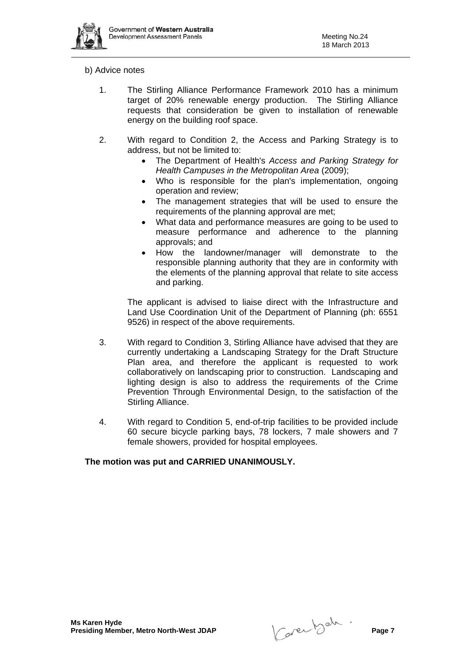

#### b) Advice notes

- 1. The Stirling Alliance Performance Framework 2010 has a minimum target of 20% renewable energy production. The Stirling Alliance requests that consideration be given to installation of renewable energy on the building roof space.
- 2. With regard to Condition 2, the Access and Parking Strategy is to address, but not be limited to:
	- The Department of Health's *Access and Parking Strategy for Health Campuses in the Metropolitan Area* (2009);
	- Who is responsible for the plan's implementation, ongoing operation and review;
	- The management strategies that will be used to ensure the requirements of the planning approval are met;
	- What data and performance measures are going to be used to measure performance and adherence to the planning approvals; and
	- How the landowner/manager will demonstrate to the responsible planning authority that they are in conformity with the elements of the planning approval that relate to site access and parking.

The applicant is advised to liaise direct with the Infrastructure and Land Use Coordination Unit of the Department of Planning (ph: 6551 9526) in respect of the above requirements.

- 3. With regard to Condition 3, Stirling Alliance have advised that they are currently undertaking a Landscaping Strategy for the Draft Structure Plan area, and therefore the applicant is requested to work collaboratively on landscaping prior to construction. Landscaping and lighting design is also to address the requirements of the Crime Prevention Through Environmental Design, to the satisfaction of the Stirling Alliance.
- 4. With regard to Condition 5, end-of-trip facilities to be provided include 60 secure bicycle parking bays, 78 lockers, 7 male showers and 7 female showers, provided for hospital employees.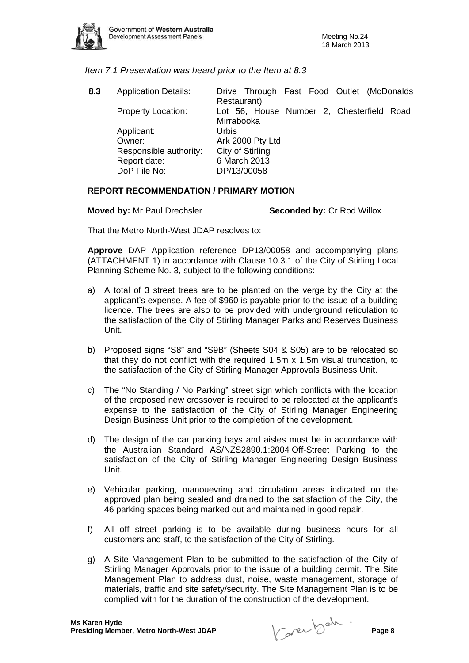

*Item 7.1 Presentation was heard prior to the Item at 8.3* 

**8.3** Application Details: Drive Through Fast Food Outlet (McDonalds Restaurant) Property Location: Lot 56, House Number 2, Chesterfield Road, Mirrabooka Applicant: Urbis Owner: Ark 2000 Pty Ltd Responsible authority: City of Stirling Report date: 6 March 2013 DoP File No: DP/13/00058

#### **REPORT RECOMMENDATION / PRIMARY MOTION**

**Moved by:** Mr Paul Drechsler **Seconded by:** Cr Rod Willox

That the Metro North-West JDAP resolves to:

**Approve** DAP Application reference DP13/00058 and accompanying plans (ATTACHMENT 1) in accordance with Clause 10.3.1 of the City of Stirling Local Planning Scheme No. 3, subject to the following conditions:

- a) A total of 3 street trees are to be planted on the verge by the City at the applicant's expense. A fee of \$960 is payable prior to the issue of a building licence. The trees are also to be provided with underground reticulation to the satisfaction of the City of Stirling Manager Parks and Reserves Business Unit.
- b) Proposed signs "S8" and "S9B" (Sheets S04 & S05) are to be relocated so that they do not conflict with the required 1.5m x 1.5m visual truncation, to the satisfaction of the City of Stirling Manager Approvals Business Unit.
- c) The "No Standing / No Parking" street sign which conflicts with the location of the proposed new crossover is required to be relocated at the applicant's expense to the satisfaction of the City of Stirling Manager Engineering Design Business Unit prior to the completion of the development.
- d) The design of the car parking bays and aisles must be in accordance with the Australian Standard AS/NZS2890.1:2004 Off-Street Parking to the satisfaction of the City of Stirling Manager Engineering Design Business Unit.
- e) Vehicular parking, manouevring and circulation areas indicated on the approved plan being sealed and drained to the satisfaction of the City, the 46 parking spaces being marked out and maintained in good repair.
- f) All off street parking is to be available during business hours for all customers and staff, to the satisfaction of the City of Stirling.
- g) A Site Management Plan to be submitted to the satisfaction of the City of Stirling Manager Approvals prior to the issue of a building permit. The Site Management Plan to address dust, noise, waste management, storage of materials, traffic and site safety/security. The Site Management Plan is to be complied with for the duration of the construction of the development.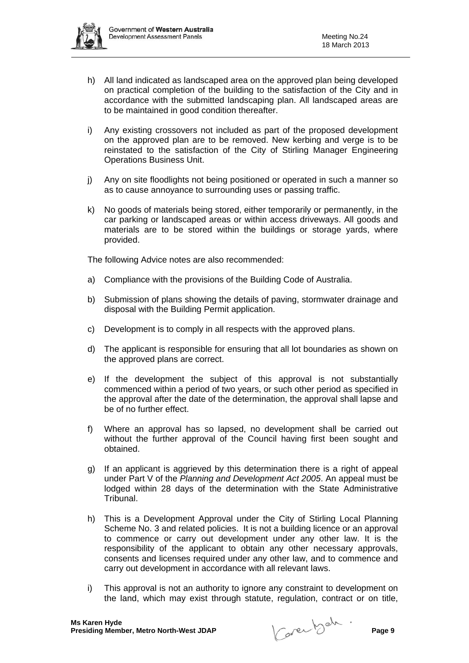- h) All land indicated as landscaped area on the approved plan being developed on practical completion of the building to the satisfaction of the City and in accordance with the submitted landscaping plan. All landscaped areas are to be maintained in good condition thereafter.
- i) Any existing crossovers not included as part of the proposed development on the approved plan are to be removed. New kerbing and verge is to be reinstated to the satisfaction of the City of Stirling Manager Engineering Operations Business Unit.
- j) Any on site floodlights not being positioned or operated in such a manner so as to cause annoyance to surrounding uses or passing traffic.
- k) No goods of materials being stored, either temporarily or permanently, in the car parking or landscaped areas or within access driveways. All goods and materials are to be stored within the buildings or storage yards, where provided.

The following Advice notes are also recommended:

- a) Compliance with the provisions of the Building Code of Australia.
- b) Submission of plans showing the details of paving, stormwater drainage and disposal with the Building Permit application.
- c) Development is to comply in all respects with the approved plans.
- d) The applicant is responsible for ensuring that all lot boundaries as shown on the approved plans are correct.
- e) If the development the subject of this approval is not substantially commenced within a period of two years, or such other period as specified in the approval after the date of the determination, the approval shall lapse and be of no further effect.
- f) Where an approval has so lapsed, no development shall be carried out without the further approval of the Council having first been sought and obtained.
- g) If an applicant is aggrieved by this determination there is a right of appeal under Part V of the *Planning and Development Act 2005*. An appeal must be lodged within 28 days of the determination with the State Administrative Tribunal.
- h) This is a Development Approval under the City of Stirling Local Planning Scheme No. 3 and related policies. It is not a building licence or an approval to commence or carry out development under any other law. It is the responsibility of the applicant to obtain any other necessary approvals, consents and licenses required under any other law, and to commence and carry out development in accordance with all relevant laws.
- i) This approval is not an authority to ignore any constraint to development on the land, which may exist through statute, regulation, contract or on title,

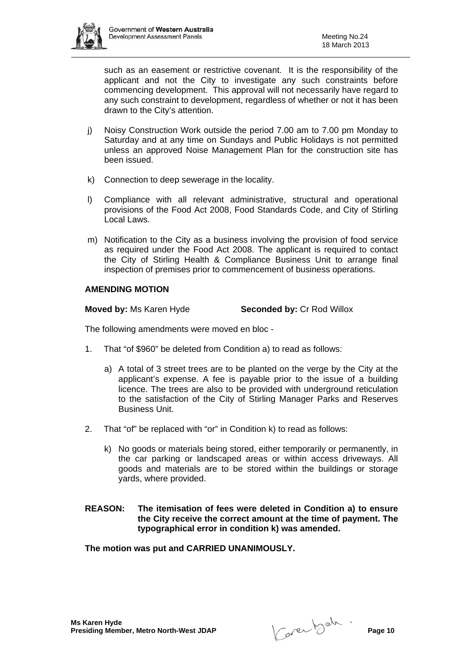

such as an easement or restrictive covenant. It is the responsibility of the applicant and not the City to investigate any such constraints before commencing development. This approval will not necessarily have regard to any such constraint to development, regardless of whether or not it has been drawn to the City's attention.

- j) Noisy Construction Work outside the period 7.00 am to 7.00 pm Monday to Saturday and at any time on Sundays and Public Holidays is not permitted unless an approved Noise Management Plan for the construction site has been issued.
- k) Connection to deep sewerage in the locality.
- l) Compliance with all relevant administrative, structural and operational provisions of the Food Act 2008, Food Standards Code, and City of Stirling Local Laws.
- m) Notification to the City as a business involving the provision of food service as required under the Food Act 2008. The applicant is required to contact the City of Stirling Health & Compliance Business Unit to arrange final inspection of premises prior to commencement of business operations.

## **AMENDING MOTION**

**Moved by: Ms Karen Hyde Seconded by: Cr Rod Willox** 

The following amendments were moved en bloc -

- 1. That "of \$960" be deleted from Condition a) to read as follows:
	- a) A total of 3 street trees are to be planted on the verge by the City at the applicant's expense. A fee is payable prior to the issue of a building licence. The trees are also to be provided with underground reticulation to the satisfaction of the City of Stirling Manager Parks and Reserves Business Unit.
- 2. That "of" be replaced with "or" in Condition k) to read as follows:
	- k) No goods or materials being stored, either temporarily or permanently, in the car parking or landscaped areas or within access driveways. All goods and materials are to be stored within the buildings or storage yards, where provided.
- **REASON: The itemisation of fees were deleted in Condition a) to ensure the City receive the correct amount at the time of payment. The typographical error in condition k) was amended.**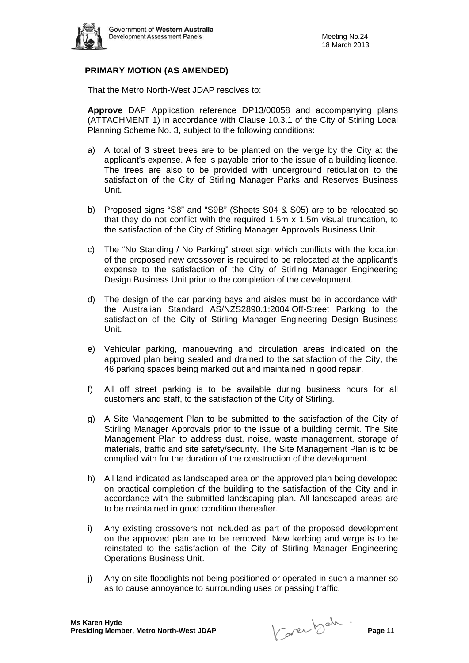

## **PRIMARY MOTION (AS AMENDED)**

That the Metro North-West JDAP resolves to:

**Approve** DAP Application reference DP13/00058 and accompanying plans (ATTACHMENT 1) in accordance with Clause 10.3.1 of the City of Stirling Local Planning Scheme No. 3, subject to the following conditions:

- a) A total of 3 street trees are to be planted on the verge by the City at the applicant's expense. A fee is payable prior to the issue of a building licence. The trees are also to be provided with underground reticulation to the satisfaction of the City of Stirling Manager Parks and Reserves Business Unit.
- b) Proposed signs "S8" and "S9B" (Sheets S04 & S05) are to be relocated so that they do not conflict with the required 1.5m x 1.5m visual truncation, to the satisfaction of the City of Stirling Manager Approvals Business Unit.
- c) The "No Standing / No Parking" street sign which conflicts with the location of the proposed new crossover is required to be relocated at the applicant's expense to the satisfaction of the City of Stirling Manager Engineering Design Business Unit prior to the completion of the development.
- d) The design of the car parking bays and aisles must be in accordance with the Australian Standard AS/NZS2890.1:2004 Off-Street Parking to the satisfaction of the City of Stirling Manager Engineering Design Business Unit.
- e) Vehicular parking, manouevring and circulation areas indicated on the approved plan being sealed and drained to the satisfaction of the City, the 46 parking spaces being marked out and maintained in good repair.
- f) All off street parking is to be available during business hours for all customers and staff, to the satisfaction of the City of Stirling.
- g) A Site Management Plan to be submitted to the satisfaction of the City of Stirling Manager Approvals prior to the issue of a building permit. The Site Management Plan to address dust, noise, waste management, storage of materials, traffic and site safety/security. The Site Management Plan is to be complied with for the duration of the construction of the development.
- h) All land indicated as landscaped area on the approved plan being developed on practical completion of the building to the satisfaction of the City and in accordance with the submitted landscaping plan. All landscaped areas are to be maintained in good condition thereafter.
- i) Any existing crossovers not included as part of the proposed development on the approved plan are to be removed. New kerbing and verge is to be reinstated to the satisfaction of the City of Stirling Manager Engineering Operations Business Unit.
- j) Any on site floodlights not being positioned or operated in such a manner so as to cause annoyance to surrounding uses or passing traffic.

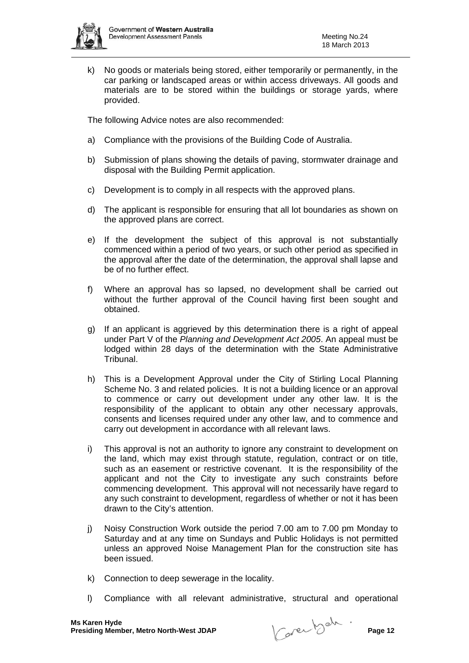

k) No goods or materials being stored, either temporarily or permanently, in the car parking or landscaped areas or within access driveways. All goods and materials are to be stored within the buildings or storage yards, where provided.

The following Advice notes are also recommended:

- a) Compliance with the provisions of the Building Code of Australia.
- b) Submission of plans showing the details of paving, stormwater drainage and disposal with the Building Permit application.
- c) Development is to comply in all respects with the approved plans.
- d) The applicant is responsible for ensuring that all lot boundaries as shown on the approved plans are correct.
- e) If the development the subject of this approval is not substantially commenced within a period of two years, or such other period as specified in the approval after the date of the determination, the approval shall lapse and be of no further effect.
- f) Where an approval has so lapsed, no development shall be carried out without the further approval of the Council having first been sought and obtained.
- g) If an applicant is aggrieved by this determination there is a right of appeal under Part V of the *Planning and Development Act 2005*. An appeal must be lodged within 28 days of the determination with the State Administrative Tribunal.
- h) This is a Development Approval under the City of Stirling Local Planning Scheme No. 3 and related policies. It is not a building licence or an approval to commence or carry out development under any other law. It is the responsibility of the applicant to obtain any other necessary approvals, consents and licenses required under any other law, and to commence and carry out development in accordance with all relevant laws.
- i) This approval is not an authority to ignore any constraint to development on the land, which may exist through statute, regulation, contract or on title, such as an easement or restrictive covenant. It is the responsibility of the applicant and not the City to investigate any such constraints before commencing development. This approval will not necessarily have regard to any such constraint to development, regardless of whether or not it has been drawn to the City's attention.
- j) Noisy Construction Work outside the period 7.00 am to 7.00 pm Monday to Saturday and at any time on Sundays and Public Holidays is not permitted unless an approved Noise Management Plan for the construction site has been issued.
- k) Connection to deep sewerage in the locality.
- l) Compliance with all relevant administrative, structural and operational

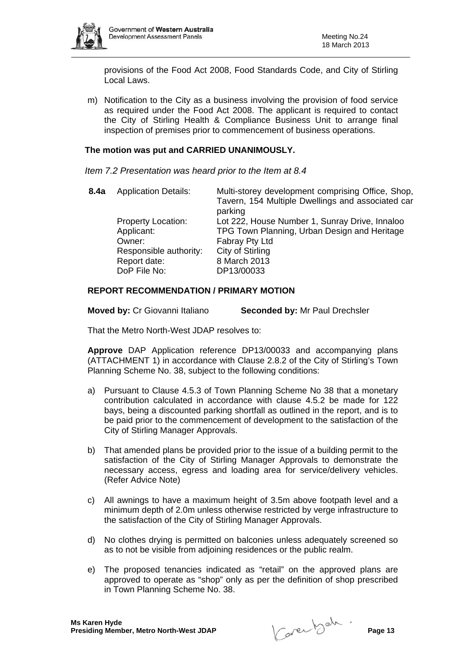

provisions of the Food Act 2008, Food Standards Code, and City of Stirling Local Laws.

m) Notification to the City as a business involving the provision of food service as required under the Food Act 2008. The applicant is required to contact the City of Stirling Health & Compliance Business Unit to arrange final inspection of premises prior to commencement of business operations.

#### **The motion was put and CARRIED UNANIMOUSLY.**

*Item 7.2 Presentation was heard prior to the Item at 8.4* 

| <b>Application Details:</b>             | Multi-storey development comprising Office, Shop,<br>Tavern, 154 Multiple Dwellings and associated car<br>parking |
|-----------------------------------------|-------------------------------------------------------------------------------------------------------------------|
| <b>Property Location:</b><br>Applicant: | Lot 222, House Number 1, Sunray Drive, Innaloo<br>TPG Town Planning, Urban Design and Heritage                    |
| Owner:                                  | Fabray Pty Ltd                                                                                                    |
| Responsible authority:                  | City of Stirling                                                                                                  |
| Report date:                            | 8 March 2013                                                                                                      |
| DoP File No:                            | DP13/00033                                                                                                        |
|                                         |                                                                                                                   |

## **REPORT RECOMMENDATION / PRIMARY MOTION**

**Moved by:** Cr Giovanni Italiano **Seconded by:** Mr Paul Drechsler

That the Metro North-West JDAP resolves to:

**Approve** DAP Application reference DP13/00033 and accompanying plans (ATTACHMENT 1) in accordance with Clause 2.8.2 of the City of Stirling's Town Planning Scheme No. 38, subject to the following conditions:

- a) Pursuant to Clause 4.5.3 of Town Planning Scheme No 38 that a monetary contribution calculated in accordance with clause 4.5.2 be made for 122 bays, being a discounted parking shortfall as outlined in the report, and is to be paid prior to the commencement of development to the satisfaction of the City of Stirling Manager Approvals.
- b) That amended plans be provided prior to the issue of a building permit to the satisfaction of the City of Stirling Manager Approvals to demonstrate the necessary access, egress and loading area for service/delivery vehicles. (Refer Advice Note)
- c) All awnings to have a maximum height of 3.5m above footpath level and a minimum depth of 2.0m unless otherwise restricted by verge infrastructure to the satisfaction of the City of Stirling Manager Approvals.
- d) No clothes drying is permitted on balconies unless adequately screened so as to not be visible from adjoining residences or the public realm.
- e) The proposed tenancies indicated as "retail" on the approved plans are approved to operate as "shop" only as per the definition of shop prescribed in Town Planning Scheme No. 38.

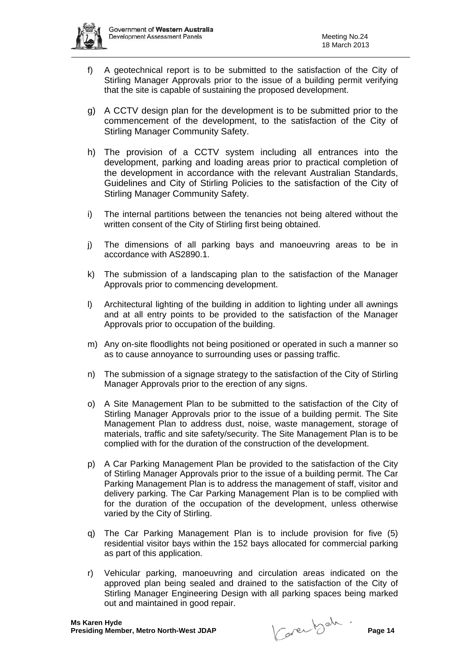

- f) A geotechnical report is to be submitted to the satisfaction of the City of Stirling Manager Approvals prior to the issue of a building permit verifying that the site is capable of sustaining the proposed development.
- g) A CCTV design plan for the development is to be submitted prior to the commencement of the development, to the satisfaction of the City of Stirling Manager Community Safety.
- h) The provision of a CCTV system including all entrances into the development, parking and loading areas prior to practical completion of the development in accordance with the relevant Australian Standards, Guidelines and City of Stirling Policies to the satisfaction of the City of Stirling Manager Community Safety.
- i) The internal partitions between the tenancies not being altered without the written consent of the City of Stirling first being obtained.
- j) The dimensions of all parking bays and manoeuvring areas to be in accordance with AS2890.1.
- k) The submission of a landscaping plan to the satisfaction of the Manager Approvals prior to commencing development.
- l) Architectural lighting of the building in addition to lighting under all awnings and at all entry points to be provided to the satisfaction of the Manager Approvals prior to occupation of the building.
- m) Any on-site floodlights not being positioned or operated in such a manner so as to cause annoyance to surrounding uses or passing traffic.
- n) The submission of a signage strategy to the satisfaction of the City of Stirling Manager Approvals prior to the erection of any signs.
- o) A Site Management Plan to be submitted to the satisfaction of the City of Stirling Manager Approvals prior to the issue of a building permit. The Site Management Plan to address dust, noise, waste management, storage of materials, traffic and site safety/security. The Site Management Plan is to be complied with for the duration of the construction of the development.
- p) A Car Parking Management Plan be provided to the satisfaction of the City of Stirling Manager Approvals prior to the issue of a building permit. The Car Parking Management Plan is to address the management of staff, visitor and delivery parking. The Car Parking Management Plan is to be complied with for the duration of the occupation of the development, unless otherwise varied by the City of Stirling.
- q) The Car Parking Management Plan is to include provision for five (5) residential visitor bays within the 152 bays allocated for commercial parking as part of this application.
- r) Vehicular parking, manoeuvring and circulation areas indicated on the approved plan being sealed and drained to the satisfaction of the City of Stirling Manager Engineering Design with all parking spaces being marked out and maintained in good repair.

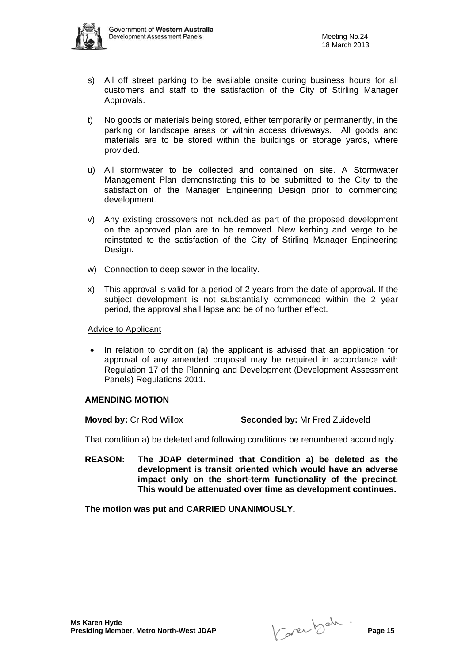

- s) All off street parking to be available onsite during business hours for all customers and staff to the satisfaction of the City of Stirling Manager Approvals.
- t) No goods or materials being stored, either temporarily or permanently, in the parking or landscape areas or within access driveways. All goods and materials are to be stored within the buildings or storage yards, where provided.
- u) All stormwater to be collected and contained on site. A Stormwater Management Plan demonstrating this to be submitted to the City to the satisfaction of the Manager Engineering Design prior to commencing development.
- v) Any existing crossovers not included as part of the proposed development on the approved plan are to be removed. New kerbing and verge to be reinstated to the satisfaction of the City of Stirling Manager Engineering Design.
- w) Connection to deep sewer in the locality.
- x) This approval is valid for a period of 2 years from the date of approval. If the subject development is not substantially commenced within the 2 year period, the approval shall lapse and be of no further effect.

#### Advice to Applicant

• In relation to condition (a) the applicant is advised that an application for approval of any amended proposal may be required in accordance with Regulation 17 of the Planning and Development (Development Assessment Panels) Regulations 2011.

#### **AMENDING MOTION**

**Moved by:** Cr Rod Willox **Seconded by:** Mr Fred Zuideveld

That condition a) be deleted and following conditions be renumbered accordingly.

**REASON: The JDAP determined that Condition a) be deleted as the development is transit oriented which would have an adverse impact only on the short-term functionality of the precinct. This would be attenuated over time as development continues.**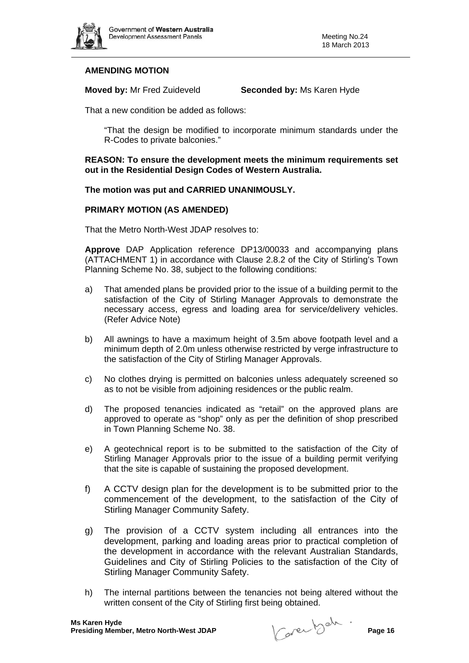

## **AMENDING MOTION**

**Moved by:** Mr Fred Zuideveld **Seconded by:** Ms Karen Hyde

That a new condition be added as follows:

 "That the design be modified to incorporate minimum standards under the R-Codes to private balconies."

#### **REASON: To ensure the development meets the minimum requirements set out in the Residential Design Codes of Western Australia.**

## **The motion was put and CARRIED UNANIMOUSLY.**

#### **PRIMARY MOTION (AS AMENDED)**

That the Metro North-West JDAP resolves to:

**Approve** DAP Application reference DP13/00033 and accompanying plans (ATTACHMENT 1) in accordance with Clause 2.8.2 of the City of Stirling's Town Planning Scheme No. 38, subject to the following conditions:

- a) That amended plans be provided prior to the issue of a building permit to the satisfaction of the City of Stirling Manager Approvals to demonstrate the necessary access, egress and loading area for service/delivery vehicles. (Refer Advice Note)
- b) All awnings to have a maximum height of 3.5m above footpath level and a minimum depth of 2.0m unless otherwise restricted by verge infrastructure to the satisfaction of the City of Stirling Manager Approvals.
- c) No clothes drying is permitted on balconies unless adequately screened so as to not be visible from adjoining residences or the public realm.
- d) The proposed tenancies indicated as "retail" on the approved plans are approved to operate as "shop" only as per the definition of shop prescribed in Town Planning Scheme No. 38.
- e) A geotechnical report is to be submitted to the satisfaction of the City of Stirling Manager Approvals prior to the issue of a building permit verifying that the site is capable of sustaining the proposed development.
- f) A CCTV design plan for the development is to be submitted prior to the commencement of the development, to the satisfaction of the City of Stirling Manager Community Safety.
- g) The provision of a CCTV system including all entrances into the development, parking and loading areas prior to practical completion of the development in accordance with the relevant Australian Standards, Guidelines and City of Stirling Policies to the satisfaction of the City of Stirling Manager Community Safety.
- h) The internal partitions between the tenancies not being altered without the written consent of the City of Stirling first being obtained.

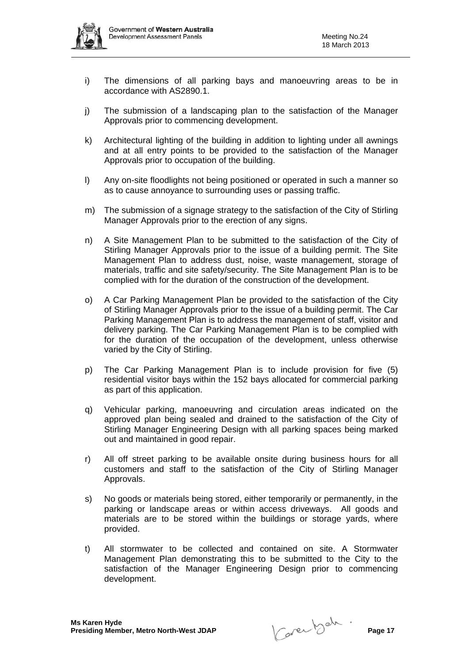

- i) The dimensions of all parking bays and manoeuvring areas to be in accordance with AS2890.1.
- j) The submission of a landscaping plan to the satisfaction of the Manager Approvals prior to commencing development.
- k) Architectural lighting of the building in addition to lighting under all awnings and at all entry points to be provided to the satisfaction of the Manager Approvals prior to occupation of the building.
- l) Any on-site floodlights not being positioned or operated in such a manner so as to cause annoyance to surrounding uses or passing traffic.
- m) The submission of a signage strategy to the satisfaction of the City of Stirling Manager Approvals prior to the erection of any signs.
- n) A Site Management Plan to be submitted to the satisfaction of the City of Stirling Manager Approvals prior to the issue of a building permit. The Site Management Plan to address dust, noise, waste management, storage of materials, traffic and site safety/security. The Site Management Plan is to be complied with for the duration of the construction of the development.
- o) A Car Parking Management Plan be provided to the satisfaction of the City of Stirling Manager Approvals prior to the issue of a building permit. The Car Parking Management Plan is to address the management of staff, visitor and delivery parking. The Car Parking Management Plan is to be complied with for the duration of the occupation of the development, unless otherwise varied by the City of Stirling.
- p) The Car Parking Management Plan is to include provision for five (5) residential visitor bays within the 152 bays allocated for commercial parking as part of this application.
- q) Vehicular parking, manoeuvring and circulation areas indicated on the approved plan being sealed and drained to the satisfaction of the City of Stirling Manager Engineering Design with all parking spaces being marked out and maintained in good repair.
- r) All off street parking to be available onsite during business hours for all customers and staff to the satisfaction of the City of Stirling Manager Approvals.
- s) No goods or materials being stored, either temporarily or permanently, in the parking or landscape areas or within access driveways. All goods and materials are to be stored within the buildings or storage yards, where provided.
- t) All stormwater to be collected and contained on site. A Stormwater Management Plan demonstrating this to be submitted to the City to the satisfaction of the Manager Engineering Design prior to commencing development.

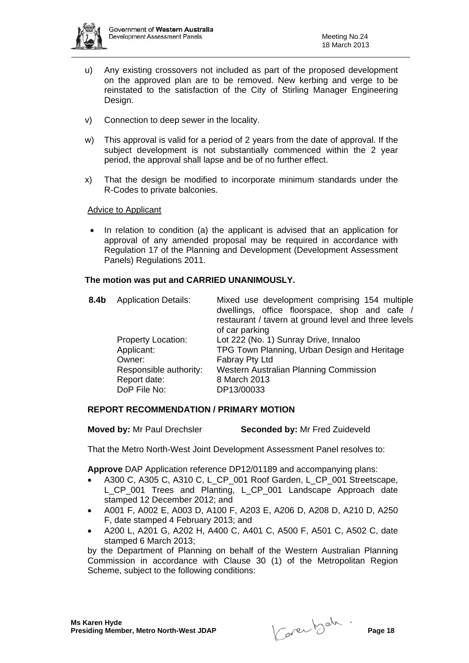

- u) Any existing crossovers not included as part of the proposed development on the approved plan are to be removed. New kerbing and verge to be reinstated to the satisfaction of the City of Stirling Manager Engineering Design.
- v) Connection to deep sewer in the locality.
- w) This approval is valid for a period of 2 years from the date of approval. If the subject development is not substantially commenced within the 2 year period, the approval shall lapse and be of no further effect.
- x) That the design be modified to incorporate minimum standards under the R-Codes to private balconies.

## Advice to Applicant

• In relation to condition (a) the applicant is advised that an application for approval of any amended proposal may be required in accordance with Regulation 17 of the Planning and Development (Development Assessment Panels) Regulations 2011.

#### **The motion was put and CARRIED UNANIMOUSLY.**

| 8.4b | <b>Application Details:</b>                            | Mixed use development comprising 154 multiple<br>dwellings, office floorspace, shop and cafe /<br>restaurant / tavern at ground level and three levels<br>of car parking |
|------|--------------------------------------------------------|--------------------------------------------------------------------------------------------------------------------------------------------------------------------------|
|      | <b>Property Location:</b><br>Applicant:<br>Owner:      | Lot 222 (No. 1) Sunray Drive, Innaloo<br>TPG Town Planning, Urban Design and Heritage<br>Fabray Pty Ltd                                                                  |
|      | Responsible authority:<br>Report date:<br>DoP File No: | <b>Western Australian Planning Commission</b><br>8 March 2013<br>DP13/00033                                                                                              |

#### **REPORT RECOMMENDATION / PRIMARY MOTION**

**Moved by:** Mr Paul Drechsler **Seconded by:** Mr Fred Zuideveld

That the Metro North-West Joint Development Assessment Panel resolves to:

**Approve** DAP Application reference DP12/01189 and accompanying plans:

- A300 C, A305 C, A310 C, L\_CP\_001 Roof Garden, L\_CP\_001 Streetscape, L\_CP\_001 Trees and Planting, L\_CP\_001 Landscape Approach date stamped 12 December 2012; and
- A001 F, A002 E, A003 D, A100 F, A203 E, A206 D, A208 D, A210 D, A250 F, date stamped 4 February 2013; and
- A200 L, A201 G, A202 H, A400 C, A401 C, A500 F, A501 C, A502 C, date stamped 6 March 2013;

by the Department of Planning on behalf of the Western Australian Planning Commission in accordance with Clause 30 (1) of the Metropolitan Region Scheme, subject to the following conditions:

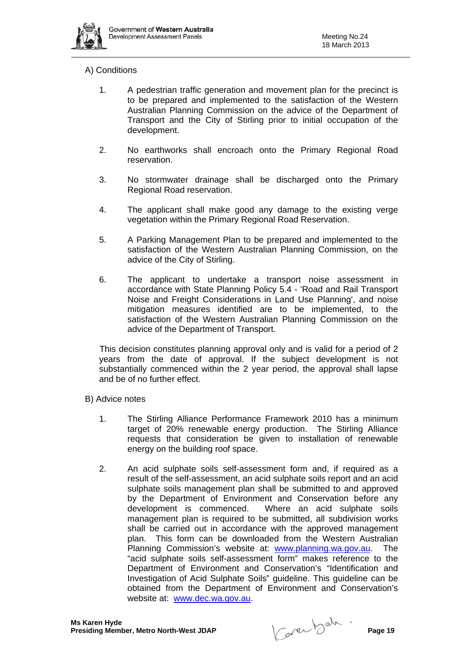

## A) Conditions

- 1. A pedestrian traffic generation and movement plan for the precinct is to be prepared and implemented to the satisfaction of the Western Australian Planning Commission on the advice of the Department of Transport and the City of Stirling prior to initial occupation of the development.
- 2. No earthworks shall encroach onto the Primary Regional Road reservation.
- 3. No stormwater drainage shall be discharged onto the Primary Regional Road reservation.
- 4. The applicant shall make good any damage to the existing verge vegetation within the Primary Regional Road Reservation.
- 5. A Parking Management Plan to be prepared and implemented to the satisfaction of the Western Australian Planning Commission, on the advice of the City of Stirling.
- 6. The applicant to undertake a transport noise assessment in accordance with State Planning Policy 5.4 - 'Road and Rail Transport Noise and Freight Considerations in Land Use Planning', and noise mitigation measures identified are to be implemented, to the satisfaction of the Western Australian Planning Commission on the advice of the Department of Transport.

This decision constitutes planning approval only and is valid for a period of 2 years from the date of approval. If the subject development is not substantially commenced within the 2 year period, the approval shall lapse and be of no further effect.

- B) Advice notes
	- 1. The Stirling Alliance Performance Framework 2010 has a minimum target of 20% renewable energy production. The Stirling Alliance requests that consideration be given to installation of renewable energy on the building roof space.
	- 2. An acid sulphate soils self-assessment form and, if required as a result of the self-assessment, an acid sulphate soils report and an acid sulphate soils management plan shall be submitted to and approved by the Department of Environment and Conservation before any development is commenced. Where an acid sulphate soils management plan is required to be submitted, all subdivision works shall be carried out in accordance with the approved management plan. This form can be downloaded from the Western Australian Planning Commission's website at: www.planning.wa.gov.au. The "acid sulphate soils self-assessment form" makes reference to the Department of Environment and Conservation's "Identification and Investigation of Acid Sulphate Soils" guideline. This guideline can be obtained from the Department of Environment and Conservation's website at: www.dec.wa.gov.au.